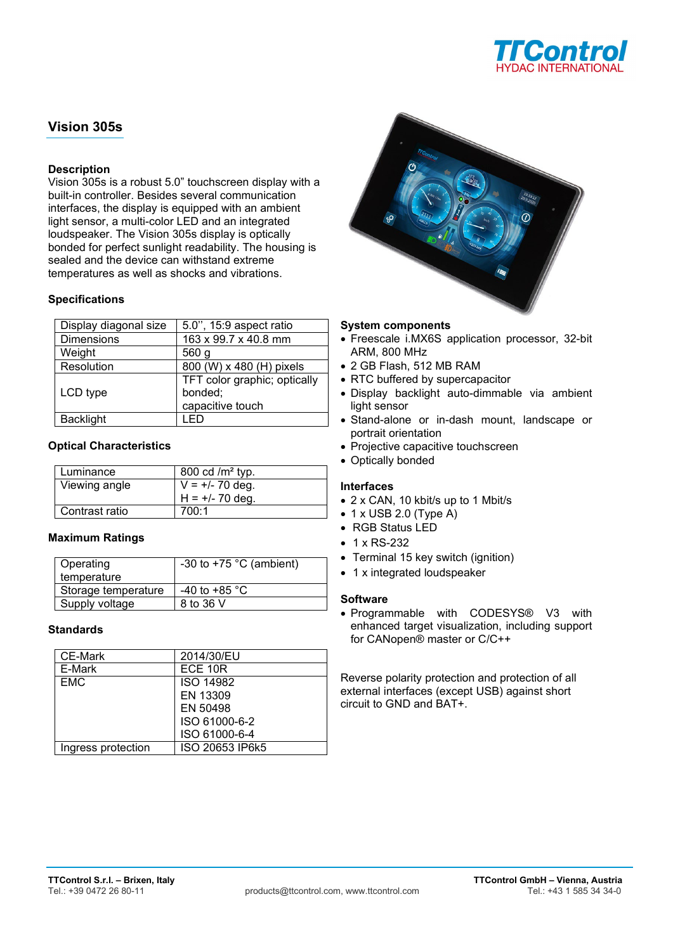

# **Vision 305s**

# **Description**

Vision 305s is a robust 5.0" touchscreen display with a built-in controller. Besides several communication interfaces, the display is equipped with an ambient light sensor, a multi-color LED and an integrated loudspeaker. The Vision 305s display is optically bonded for perfect sunlight readability. The housing is sealed and the device can withstand extreme temperatures as well as shocks and vibrations.

## **Specifications**

| Display diagonal size | 5.0", 15:9 aspect ratio      |
|-----------------------|------------------------------|
| <b>Dimensions</b>     | 163 x 99.7 x 40.8 mm         |
| Weight                | 560 g                        |
| Resolution            | 800 (W) x 480 (H) pixels     |
|                       | TFT color graphic; optically |
| LCD type              | bonded;                      |
|                       | capacitive touch             |
| <b>Backlight</b>      |                              |

# **Optical Characteristics**

| Luminance      | 800 cd / $m2$ typ. |
|----------------|--------------------|
| Viewing angle  | $V = +/- 70$ deg.  |
|                | $H = +/- 70$ deg.  |
| Contrast ratio | 700:1              |

## **Maximum Ratings**

| Operating           | -30 to +75 $^{\circ}$ C (ambient) |
|---------------------|-----------------------------------|
| temperature         |                                   |
| Storage temperature | -40 to +85 $^{\circ}$ C           |
| Supply voltage      | 8 to 36 V                         |

## **Standards**

| <b>CE-Mark</b>     | 2014/30/EU       |
|--------------------|------------------|
| E-Mark             | ECE 10R          |
| <b>EMC</b>         | <b>ISO 14982</b> |
|                    | EN 13309         |
|                    | EN 50498         |
|                    | ISO 61000-6-2    |
|                    | ISO 61000-6-4    |
| Ingress protection | ISO 20653 IP6k5  |



## **System components**

- Freescale i.MX6S application processor, 32-bit ARM, 800 MHz
- 2 GB Flash, 512 MB RAM
- RTC buffered by supercapacitor
- Display backlight auto-dimmable via ambient light sensor
- Stand-alone or in-dash mount, landscape or portrait orientation
- Projective capacitive touchscreen
- Optically bonded

## **Interfaces**

- 2 x CAN, 10 kbit/s up to 1 Mbit/s
- $\bullet$  1 x USB 2.0 (Type A)
- RGB Status LED
- 1 x RS-232
- Terminal 15 key switch (ignition)
- 1 x integrated loudspeaker

## **Software**

• Programmable with CODESYS® V3 with enhanced target visualization, including support for CANopen® master or C/C++

Reverse polarity protection and protection of all external interfaces (except USB) against short circuit to GND and BAT+.